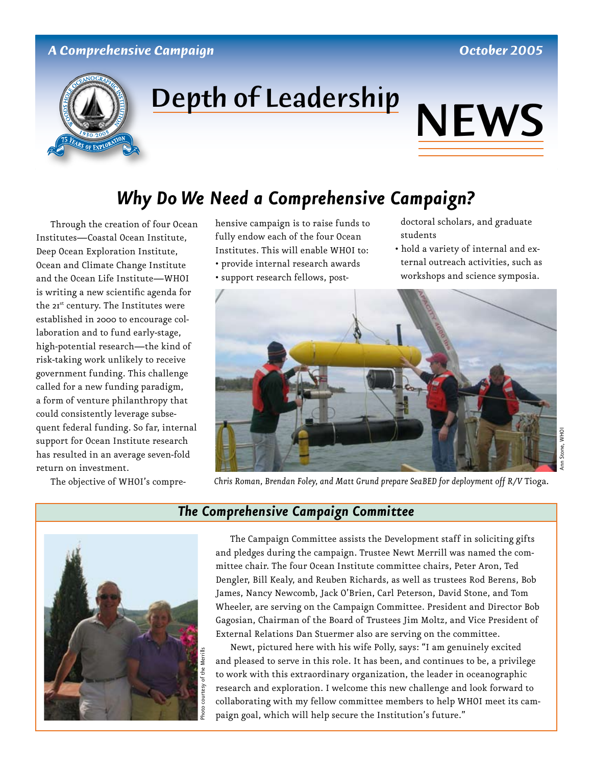#### *A Comprehensive Campaign October 2005*



# Depth of Leadership NEWS



### *Why Do We Need a Comprehensive Campaign?*

Through the creation of four Ocean Institutes—Coastal Ocean Institute, Deep Ocean Exploration Institute, Ocean and Climate Change Institute and the Ocean Life Institute—WHOI is writing a new scientific agenda for the 21<sup>st</sup> century. The Institutes were established in 2000 to encourage collaboration and to fund early-stage, high-potential research—the kind of risk-taking work unlikely to receive government funding. This challenge called for a new funding paradigm, a form of venture philanthropy that could consistently leverage subsequent federal funding. So far, internal support for Ocean Institute research has resulted in an average seven-fold return on investment.

The objective of WHOI's compre-

hensive campaign is to raise funds to fully endow each of the four Ocean Institutes. This will enable WHOI to: • provide internal research awards

- support research fellows, post-
- 
- doctoral scholars, and graduate students
- hold a variety of internal and external outreach activities, such as workshops and science symposia.



Ann Stone, WHOI

Stone, WHOI



#### *The Comprehensive Campaign Committee*

The Campaign Committee assists the Development staff in soliciting gifts and pledges during the campaign. Trustee Newt Merrill was named the committee chair. The four Ocean Institute committee chairs, Peter Aron, Ted Dengler, Bill Kealy, and Reuben Richards, as well as trustees Rod Berens, Bob James, Nancy Newcomb, Jack O'Brien, Carl Peterson, David Stone, and Tom Wheeler, are serving on the Campaign Committee. President and Director Bob Gagosian, Chairman of the Board of Trustees Jim Moltz, and Vice President of External Relations Dan Stuermer also are serving on the committee.

Newt, pictured here with his wife Polly, says: "I am genuinely excited and pleased to serve in this role. It has been, and continues to be, a privilege to work with this extraordinary organization, the leader in oceanographic research and exploration. I welcome this new challenge and look forward to collaborating with my fellow committee members to help WHOI meet its campaign goal, which will help secure the Institution's future."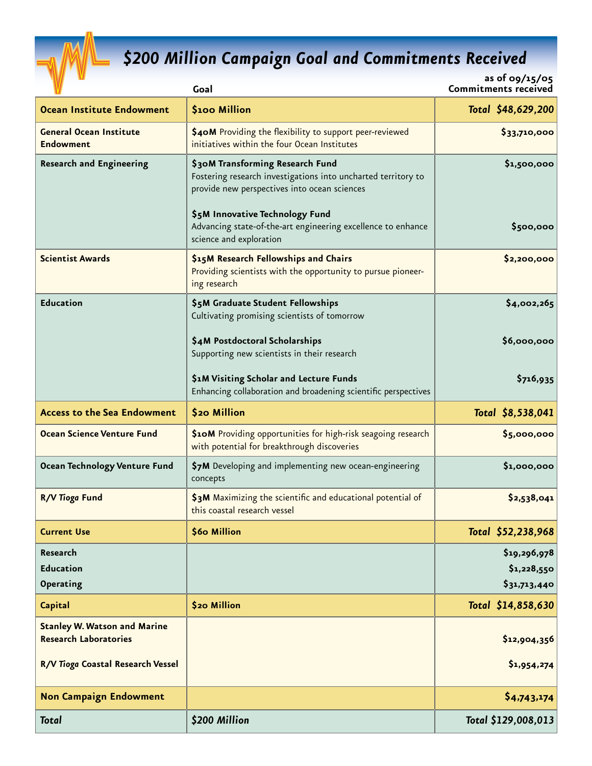

## *\$200 Million Campaign Goal and Commitments Received*

|                             | as of 09/15/05 |
|-----------------------------|----------------|
| <b>Commitments received</b> |                |

| <b>Commitments received</b><br>Goal                                                                                                                                                  |                                                              |
|--------------------------------------------------------------------------------------------------------------------------------------------------------------------------------------|--------------------------------------------------------------|
| <b>\$100 Million</b>                                                                                                                                                                 | Total \$48,629,200                                           |
| \$40M Providing the flexibility to support peer-reviewed<br>initiatives within the four Ocean Institutes                                                                             | \$33,710,000                                                 |
| \$30M Transforming Research Fund<br>Fostering research investigations into uncharted territory to<br>provide new perspectives into ocean sciences<br>\$5M Innovative Technology Fund | \$1,500,000                                                  |
| science and exploration                                                                                                                                                              | \$500,000                                                    |
| \$15M Research Fellowships and Chairs<br>Providing scientists with the opportunity to pursue pioneer-<br>ing research                                                                | \$2,200,000                                                  |
| \$5M Graduate Student Fellowships<br>Cultivating promising scientists of tomorrow                                                                                                    | \$4,002,265                                                  |
| \$4M Postdoctoral Scholarships<br>Supporting new scientists in their research                                                                                                        | \$6,000,000                                                  |
| \$1M Visiting Scholar and Lecture Funds<br>Enhancing collaboration and broadening scientific perspectives                                                                            | \$716,935                                                    |
| \$20 Million                                                                                                                                                                         | Total \$8,538,041                                            |
| \$10M Providing opportunities for high-risk seagoing research<br>with potential for breakthrough discoveries                                                                         | \$5,000,000                                                  |
| \$7M Developing and implementing new ocean-engineering<br>concepts                                                                                                                   | \$1,000,000                                                  |
| \$3M Maximizing the scientific and educational potential of<br>this coastal research vessel                                                                                          | \$2,538,041                                                  |
| \$60 Million                                                                                                                                                                         | Total \$52,238,968                                           |
|                                                                                                                                                                                      | \$19,296,978<br>\$1,228,550<br>\$31,713,440                  |
| <b>\$20 Million</b>                                                                                                                                                                  | Total \$14,858,630                                           |
|                                                                                                                                                                                      | \$12,904,356<br>\$1,954,274                                  |
|                                                                                                                                                                                      | \$4,743,174                                                  |
| \$200 Million                                                                                                                                                                        | Total \$129,008,013                                          |
|                                                                                                                                                                                      | Advancing state-of-the-art engineering excellence to enhance |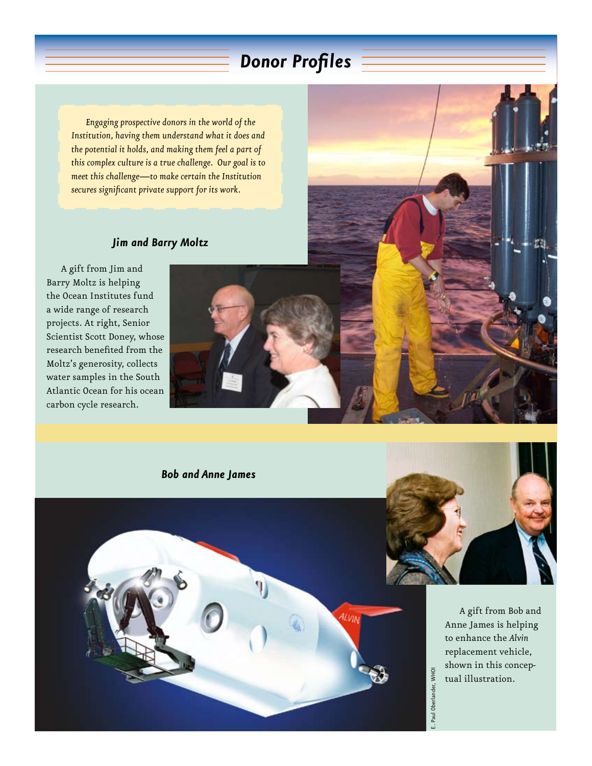## *Donor Profiles*

*Engaging prospective donors in the world of the Institution, having them understand what it does and the potential it holds, and making them feel a part of this complex culture is a true challenge. Our goal is to meet this challenge—to make certain the Institution secures significant private support for its work.* 

#### *Jim and Barry Moltz*

A gift from Jim and Barry Moltz is helping the Ocean Institutes fund a wide range of research projects. At right, Senior Scientist Scott Doney, whose research benefited from the Moltz's generosity, collects water samples in the South Atlantic Ocean for his ocean carbon cycle research.









A gift from Bob and Anne James is helping to enhance the *Alvin* replacement vehicle, shown in this conceptual illustration.

E. Paul Oberlander, WHOI

E. Paul Oberlander, WHOI